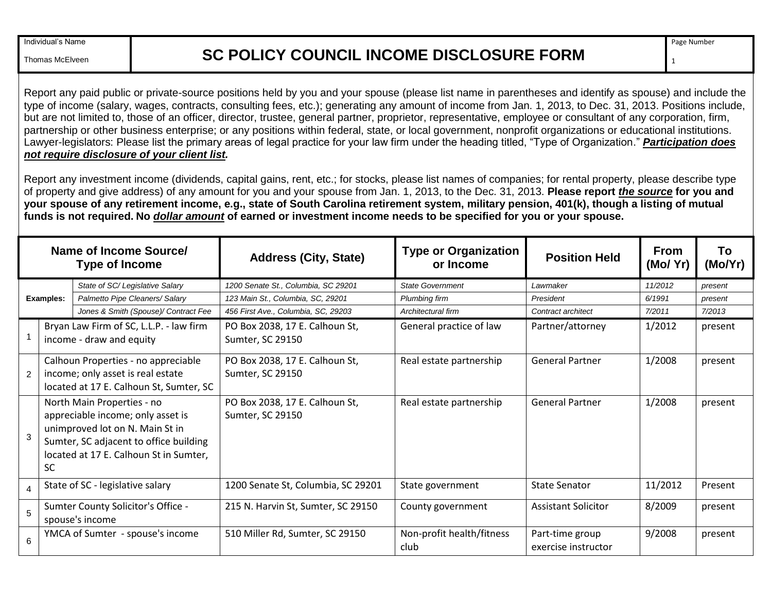Thomas McElveen

## **SC POLICY COUNCIL INCOME DISCLOSURE FORM**

1

Report any paid public or private-source positions held by you and your spouse (please list name in parentheses and identify as spouse) and include the type of income (salary, wages, contracts, consulting fees, etc.); generating any amount of income from Jan. 1, 2013, to Dec. 31, 2013. Positions include, but are not limited to, those of an officer, director, trustee, general partner, proprietor, representative, employee or consultant of any corporation, firm, partnership or other business enterprise; or any positions within federal, state, or local government, nonprofit organizations or educational institutions. Lawyer-legislators: Please list the primary areas of legal practice for your law firm under the heading titled, "Type of Organization." *Participation does not require disclosure of your client list.* 

Report any investment income (dividends, capital gains, rent, etc.; for stocks, please list names of companies; for rental property, please describe type of property and give address) of any amount for you and your spouse from Jan. 1, 2013, to the Dec. 31, 2013. **Please report** *the source* **for you and your spouse of any retirement income, e.g., state of South Carolina retirement system, military pension, 401(k), though a listing of mutual funds is not required. No** *dollar amount* **of earned or investment income needs to be specified for you or your spouse.**

| Name of Income Source/<br><b>Type of Income</b> |                                                                                                                                                                                                     |                                                                     | <b>Address (City, State)</b>                       | <b>Type or Organization</b><br>or Income | <b>Position Held</b>                   | <b>From</b><br>(Mo/Yr) | To<br>(Mo/Yr) |
|-------------------------------------------------|-----------------------------------------------------------------------------------------------------------------------------------------------------------------------------------------------------|---------------------------------------------------------------------|----------------------------------------------------|------------------------------------------|----------------------------------------|------------------------|---------------|
|                                                 |                                                                                                                                                                                                     | State of SC/Legislative Salary                                      | 1200 Senate St., Columbia, SC 29201                | <b>State Government</b>                  | Lawmaker                               | 11/2012                | present       |
| <b>Examples:</b>                                |                                                                                                                                                                                                     | Palmetto Pipe Cleaners/ Salary                                      | 123 Main St., Columbia, SC, 29201                  | Plumbing firm                            | President                              | 6/1991                 | present       |
|                                                 |                                                                                                                                                                                                     | Jones & Smith (Spouse)/ Contract Fee                                | 456 First Ave., Columbia, SC, 29203                | Architectural firm                       | Contract architect                     | 7/2011                 | 7/2013        |
|                                                 |                                                                                                                                                                                                     | Bryan Law Firm of SC, L.L.P. - law firm<br>income - draw and equity | PO Box 2038, 17 E. Calhoun St,<br>Sumter, SC 29150 | General practice of law                  | Partner/attorney                       | 1/2012                 | present       |
| 2                                               | Calhoun Properties - no appreciable<br>income; only asset is real estate<br>located at 17 E. Calhoun St, Sumter, SC                                                                                 |                                                                     | PO Box 2038, 17 E. Calhoun St,<br>Sumter, SC 29150 | Real estate partnership                  | <b>General Partner</b>                 | 1/2008                 | present       |
| 3                                               | North Main Properties - no<br>appreciable income; only asset is<br>unimproved lot on N. Main St in<br>Sumter, SC adjacent to office building<br>located at 17 E. Calhoun St in Sumter,<br><b>SC</b> |                                                                     | PO Box 2038, 17 E. Calhoun St,<br>Sumter, SC 29150 | Real estate partnership                  | <b>General Partner</b>                 | 1/2008                 | present       |
| $\overline{4}$                                  |                                                                                                                                                                                                     | State of SC - legislative salary                                    | 1200 Senate St, Columbia, SC 29201                 | State government                         | <b>State Senator</b>                   | 11/2012                | Present       |
| 5                                               |                                                                                                                                                                                                     | Sumter County Solicitor's Office -<br>spouse's income               | 215 N. Harvin St, Sumter, SC 29150                 | County government                        | <b>Assistant Solicitor</b>             | 8/2009                 | present       |
| 6                                               |                                                                                                                                                                                                     | YMCA of Sumter - spouse's income                                    | 510 Miller Rd, Sumter, SC 29150                    | Non-profit health/fitness<br>club        | Part-time group<br>exercise instructor | 9/2008                 | present       |